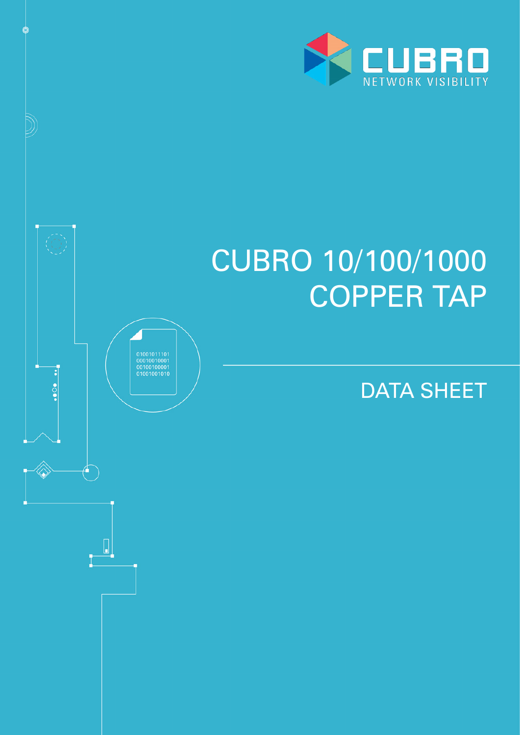

# CUBRO 10/100/1000 COPPER TAP

DATA SHEET

 $\begin{array}{c} 01001011101 \\ 00010010001 \\ 00100100001 \\ 01001001010 \end{array}$ 

 $\cdots$ 

 $\begin{bmatrix} \end{bmatrix}$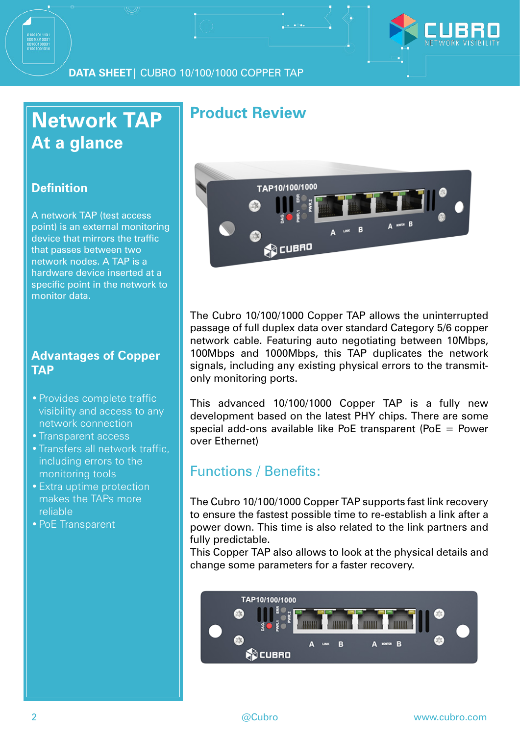

# **Network TAP At a glance**

#### **Definition**

A network TAP (test access point) is an external monitoring device that mirrors the traffic that passes between two network nodes. A TAP is a hardware device inserted at a specific point in the network to monitor data.

#### **Advantages of Copper TAP**

- •Provides complete traffic visibility and access to any network connection
- Transparent access
- •Transfers all network traffic, including errors to the monitoring tools
- •Extra uptime protection makes the TAPs more reliable
- •PoE Transparent

### **Product Review**



The Cubro 10/100/1000 Copper TAP allows the uninterrupted passage of full duplex data over standard Category 5/6 copper network cable. Featuring auto negotiating between 10Mbps, 100Mbps and 1000Mbps, this TAP duplicates the network signals, including any existing physical errors to the transmitonly monitoring ports.

This advanced 10/100/1000 Copper TAP is a fully new development based on the latest PHY chips. There are some special add-ons available like PoE transparent (PoE = Power over Ethernet)

#### Functions / Benefits:

The Cubro 10/100/1000 Copper TAP supports fast link recovery to ensure the fastest possible time to re-establish a link after a power down. This time is also related to the link partners and fully predictable.

This Copper TAP also allows to look at the physical details and change some parameters for a faster recovery.

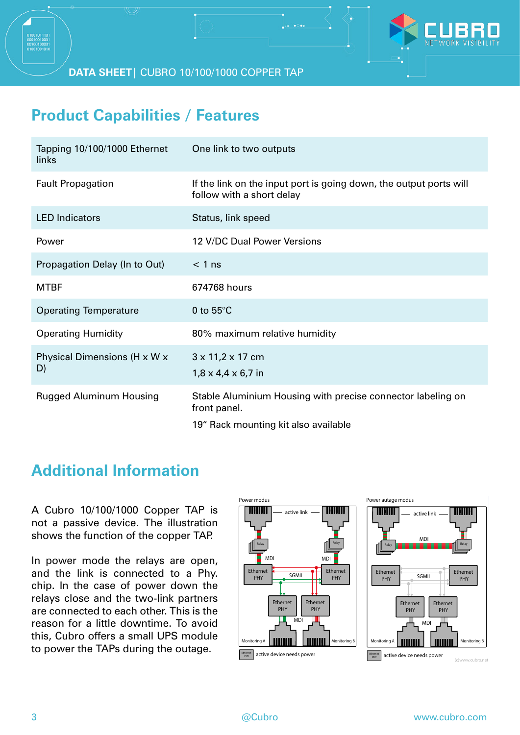**DATA SHEET**| CUBRO 10/100/1000 COPPER TAP

## **Product Capabilities / Features**

| Tapping 10/100/1000 Ethernet<br>links | One link to two outputs                                                                                             |
|---------------------------------------|---------------------------------------------------------------------------------------------------------------------|
| <b>Fault Propagation</b>              | If the link on the input port is going down, the output ports will<br>follow with a short delay                     |
| <b>LED</b> Indicators                 | Status, link speed                                                                                                  |
| Power                                 | 12 V/DC Dual Power Versions                                                                                         |
| Propagation Delay (In to Out)         | $< 1$ ns                                                                                                            |
| <b>MTBF</b>                           | 674768 hours                                                                                                        |
| <b>Operating Temperature</b>          | 0 to $55^{\circ}$ C                                                                                                 |
| <b>Operating Humidity</b>             | 80% maximum relative humidity                                                                                       |
| Physical Dimensions (H x W x<br>D)    | 3 x 11,2 x 17 cm<br>$1,8 \times 4,4 \times 6,7$ in                                                                  |
| <b>Rugged Aluminum Housing</b>        | Stable Aluminium Housing with precise connector labeling on<br>front panel.<br>19" Rack mounting kit also available |

## **Additional Information**

A Cubro 10/100/1000 Copper TAP is not a passive device. The illustration not a passive device. The illustration<br>shows the function of the copper TAP. not a passive<br>shows the func device, the

In power mode the relays are open,  $\frac{1}{2}$ and the link is connected to a Phy. chip. In the case of power down the relays close and the two-link partners are connected to each other. This is the are connected to each other. This is the<br>reason for a little downtime. To avoid this, Cubro offers a small UPS module to power the TAPs during the outage.<br>————————————————————